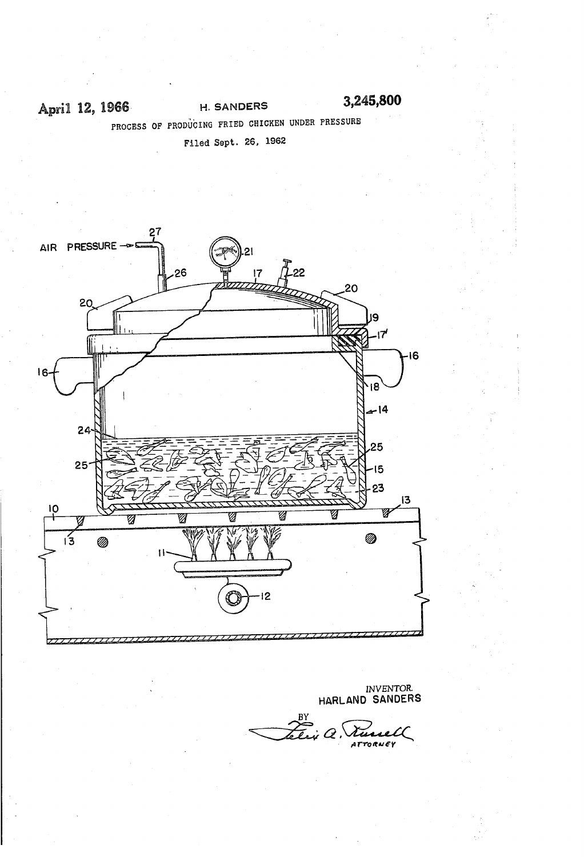PROCESS OF PRODUCING FRIED CHICKEN UNDER PRESSURE

Filed Sept. 26, 1962



INVENTOR<br>HARLAND SANDERS

BY<br>Lelin a. Nursell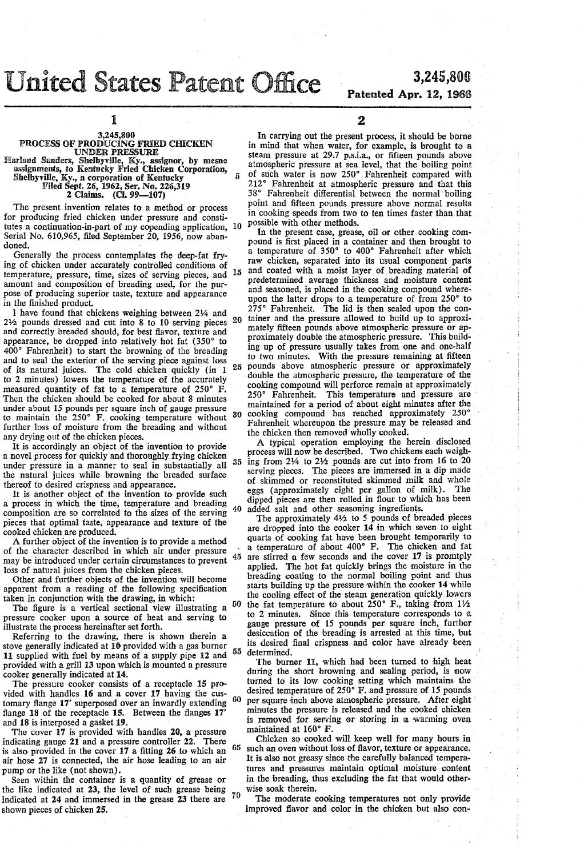## United States Patent Office Patented Apr. 12, 1966

 $\overline{a}$ 

# Patented Apr. 12, 1966

### 1

## PROCESS OF PRODUCING FRIED CHICKEN<br>UNDER PRESSURE

Harland Sanders, Shelbyville, Ky., assignor, by mesne<br>assignments, to Kentucky Fried Chicken Corporation,<br>Shelbyville, Ky., a corporation of Kentucky<br>Filed Sept. 26, 1962, Ser. No. 226,319<br>2 Claims. (Cl. 99--107)

The present invention relates to a method or process for producing fried chicken under pressure and consti tutes a continuation-in-part of my copending application, O Serial No. 610,965, filed September 20, 1956, now aban doned.

Generally the process contemplates the deep-fat frying of chicken under accurately controlled conditions of temperature, pressure, time, sizes of serving pieces, and amount and composition of breading used, for the pur pose of producing superior taste, texture and appearance in the finished product.

I have found that chickens weighing between 24 and 2% pounds dressed and cut into 8 to 10 serving pieces and correctly breaded should, for best flavor, texture and appearance, be dropped into relatively hot fat  $(350^\circ \text{ to } 400^\circ \text{ Fahrenheit})$  to start the browning of the breading and to seal the exterior of the serving piece against loss of its natural juices. The cold chicken quickly (in 1 to 2 minutes) lowers the temperature of the accurately measured quantity of fat to a temperature of 250° F. Then the chicken should be cooked for about 8 minutes under about 15 pounds per square inch of gauge pressure to maintain the 250 F. cooking temperature without further loss of moisture from the breading and without any drying out of the chicken pieces.

It is accordingly an object of the invention to provide a novel process for quickly and thoroughly frying chicken under pressure in a manner to seal in substantially all the natural juices while browning the breaded surface thereof to desired crispness and appearance.

It is another object of the invention to provide such a process in which the time, temperature and breading composition are so correlated to the sizes of the serving pieces that optimal taste, appearance and texture of the cooked chicken are produced.

A further object of the invention is to provide a method of the character described in which air under pressure may be introduced under certain circumstances to prevent

loss of natural juices from the chicken pieces.<br>Other and further objects of the invention will become apparent from a reading of the following specification taken in conjunction with the drawing, in which:

The figure is a vertical sectional view illustrating a pressure cooker upon a source of heat and serving to illustrate the process hereinafter set forth.

Referring to the drawing, there is shown therein a stove generally indicated at 10 provided with a gas burner 11 supplied with fuel by means of a supply pipe 12 and provided with a grill 13 upon which is mounted a pressure cooker generally indicated at 14.<br>The pressure cooker consists of a receptacle 15 pro-

vided with handles 16 and a cover 17 having the customary flange 17 superposed over an inwardly extending flange 18 of the receptacle 15. Between the flanges 17' and 18 is interposed a gasket 19.<br>The cover 17 is provided with handles 20, a pressure

indicating gauge 21 and a pressure controller 22. There is also provided in the cover 17 a fitting 26 to which an air hose 27 is connected, the air hose leading to an air

65

Seen within the container is a quantity of grease or the like indicated at  $23$ , the level of such grease being indicated at 24 and immersed in the grease 23 there are shown pieces of chicken 25.

2

In carrying out the present process, it should be borne in mind that when water, for example, is brought to a steam pressure at 29.7 p.s.i.a., or fifteen pounds above atmospheric pressure at sea level, that the boiling point of such water is now 250° Fahrenheit compared with 212° Fahrenheit at atmospheric pressure and that this 38° Fahrenheit differential between the normal boiling point and fifteen pounds pressure above normal results in cooking speeds from two to ten times faster than that possible with other methods.

5 20 tainer and the pressure allowed to build up to approximately fifteen pounds above atmospheric pressure or ap-25 pounds above atmospheric pressure or approximately 30 In the present case, grease, oil or other cooking come pound is first placed in a container and then brought to a temperature of 350° to 400° Fahrenheit after which raw chicken, separated into its usual component parts and coated with a moist layer of breading material of predetermined average thickness and moisture content and seasoned, is placed in the cooking compound whereupon the latter drops to a temperature of from  $250^\circ$  to 275° Fahrenheit. The lid is then sealed upon the conproximately double the atmospheric pressure. This building up of pressure usually takes from one and one-half to two minutes. With the pressure remaining at fifteen pounds above atmospheric pressure or approximately double the atmospheric pressure, the temperature of the cooking compound will perforce remain at approximately 250° Fahrenheit. cooking compound has reached approximately 250 Fahrenheit whereupon the pressure may be released and the chicken then removed wholly cooked. This temperature and pressure are maintained for a period of about eight minutes after the

35 40 A typical operation employing the herein disclosed process will now be described. Two chickens each weighing from  $2\frac{1}{4}$  to  $2\frac{1}{2}$  pounds are cut into from 16 to 20 serving pieces. The pieces are immersed in a dip made of skimmed or reconstituted skimmed milk and whole<br>eggs (approximately eight ner gallon of milk). The eggs (approximately eight per gallon of milk). The

45 are stirred a few seconds and the cover 17 is promtply 50 55 added salt and other seasoning ingredients.<br>The approximately  $4\frac{1}{2}$  to 5 pounds of breaded pieces are dropped into the cooker 14 in which seven to eight quarts of cooking fat have been brought temporarily to a temperature of about 400 F. The chicken and fat applied. The hot fat quickly brings the moisture in the breading coating to the normal boiling point and thus starts building up the pressure within the cooker 14 while the cooling effect of the steam generation quickly lowers the fat temperature to about  $250^{\circ}$  F., taking from  $1\frac{1}{2}$ to 2 minutes. Since this temperature corresponds to a gauge pressure of 15 pounds per square inch, further desiccation of the breading is arrested at this time, but its desired final crispness and color have already been

60 per square inch above atmospheric pressure. After eight determined.<br>The burner 11, which had been turned to high heat during the short browning and sealing period, is now turned to its low cooking setting which maintains the desired temperature of  $250^\circ$  F. and pressure of 15 pounds minutes the pressure is released and the cooked chicken is removed for serving or storing in a warming oven maintained at 160° F.

Chicken so cooked will keep well for many hours in such an oven without loss of flavor, texture or appearance. It is also not greasy since the carefully balanced tempera tures and pressures maintain optimal moisture content in the breading, thus excluding the fat that would other wise soak therein.

 $\mathbf{U}$ The moderate cooking temperatures not only provide improved flavor and color in the chicken but also con